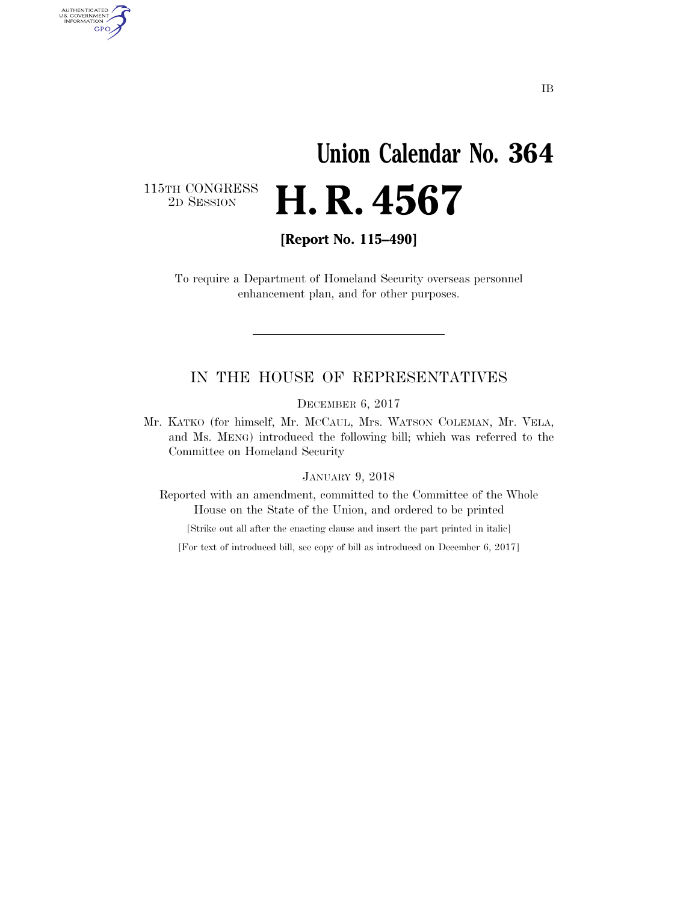# **Union Calendar No. 364**  2D SESSION **H. R. 4567**

115TH CONGRESS<br>2D SESSION

AUTHENTICATED<br>U.S. GOVERNMENT<br>INFORMATION **GPO** 

**[Report No. 115–490]** 

To require a Department of Homeland Security overseas personnel enhancement plan, and for other purposes.

#### IN THE HOUSE OF REPRESENTATIVES

DECEMBER 6, 2017

Mr. KATKO (for himself, Mr. MCCAUL, Mrs. WATSON COLEMAN, Mr. VELA, and Ms. MENG) introduced the following bill; which was referred to the Committee on Homeland Security

#### JANUARY 9, 2018

Reported with an amendment, committed to the Committee of the Whole House on the State of the Union, and ordered to be printed

[Strike out all after the enacting clause and insert the part printed in italic]

[For text of introduced bill, see copy of bill as introduced on December 6, 2017]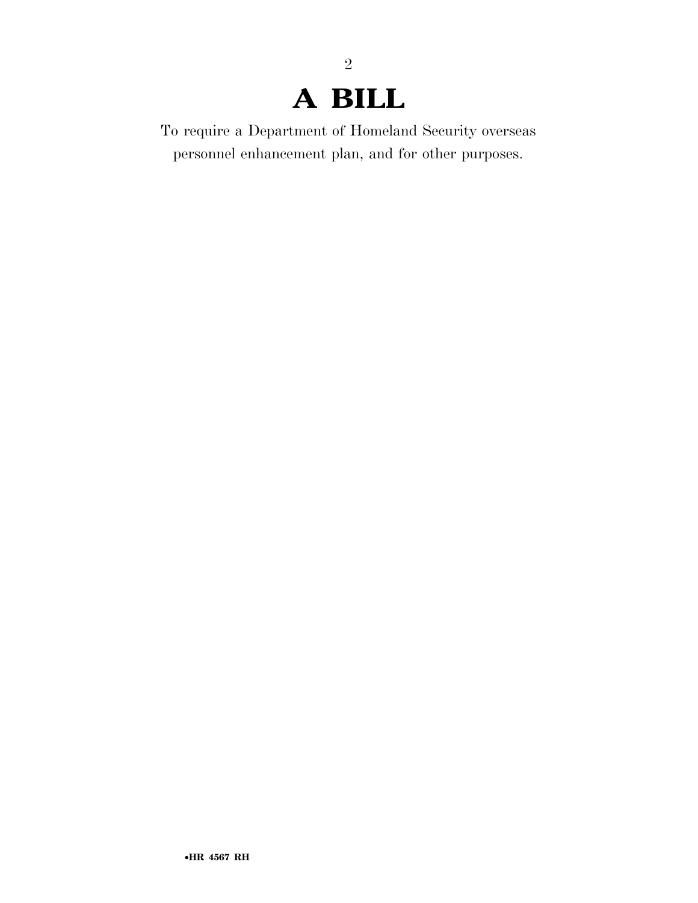### **A BILL**

2

To require a Department of Homeland Security overseas personnel enhancement plan, and for other purposes.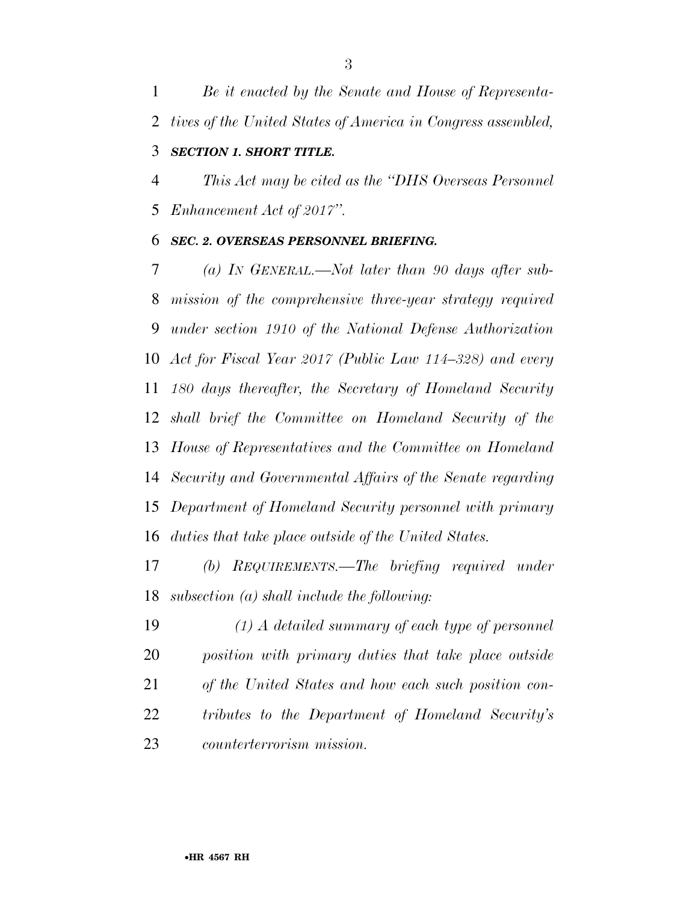*Be it enacted by the Senate and House of Representa-tives of the United States of America in Congress assembled,* 

### *SECTION 1. SHORT TITLE.*

 *This Act may be cited as the ''DHS Overseas Personnel Enhancement Act of 2017''.* 

#### *SEC. 2. OVERSEAS PERSONNEL BRIEFING.*

 *(a) IN GENERAL.—Not later than 90 days after sub- mission of the comprehensive three-year strategy required under section 1910 of the National Defense Authorization Act for Fiscal Year 2017 (Public Law 114–328) and every 180 days thereafter, the Secretary of Homeland Security shall brief the Committee on Homeland Security of the House of Representatives and the Committee on Homeland Security and Governmental Affairs of the Senate regarding Department of Homeland Security personnel with primary duties that take place outside of the United States.* 

 *(b) REQUIREMENTS.—The briefing required under subsection (a) shall include the following:* 

 *(1) A detailed summary of each type of personnel position with primary duties that take place outside of the United States and how each such position con- tributes to the Department of Homeland Security's counterterrorism mission.*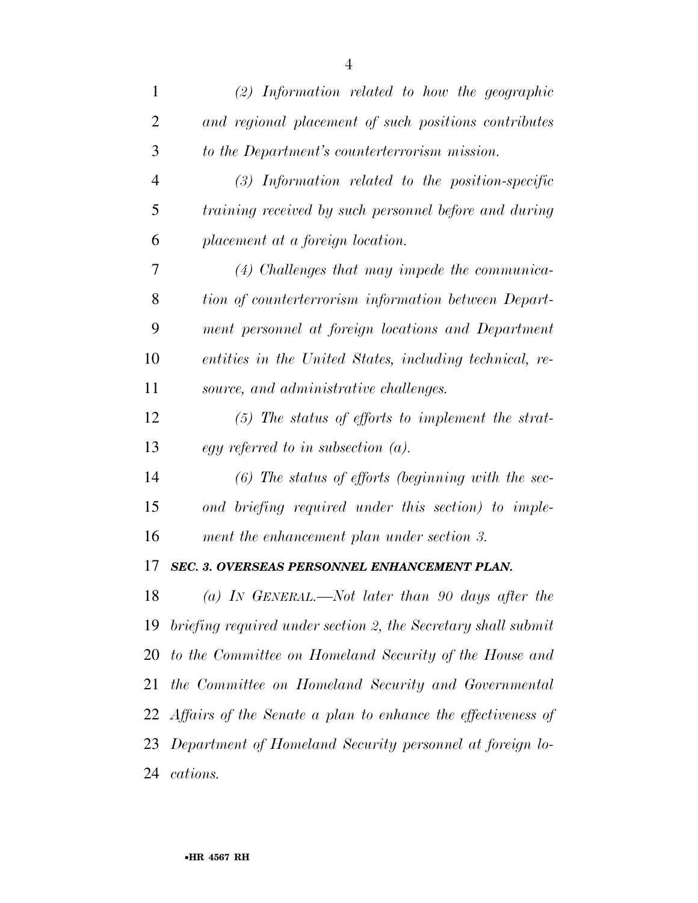| 1              | $(2)$ Information related to how the geographic                 |
|----------------|-----------------------------------------------------------------|
| $\overline{2}$ | and regional placement of such positions contributes            |
| 3              | to the Department's counterterrorism mission.                   |
| $\overline{4}$ | $(3)$ Information related to the position-specific              |
| 5              | training received by such personnel before and during           |
| 6              | placement at a foreign location.                                |
| 7              | $(4)$ Challenges that may impede the communica-                 |
| 8              | tion of counterterrorism information between Depart-            |
| 9              | ment personnel at foreign locations and Department              |
| 10             | entities in the United States, including technical, re-         |
| 11             | source, and administrative challenges.                          |
| 12             | $(5)$ The status of efforts to implement the strat-             |
| 13             | egy referred to in subsection $(a)$ .                           |
| 14             | $(6)$ The status of efforts (beginning with the sec-            |
| 15             | ond briefing required under this section) to imple-             |
| 16             | ment the enhancement plan under section 3.                      |
| 17             | SEC. 3. OVERSEAS PERSONNEL ENHANCEMENT PLAN.                    |
| 18             | (a) In GENERAL.—Not later than 90 days after the                |
| 19             | briefing required under section 2, the Secretary shall submit   |
| 20             | to the Committee on Homeland Security of the House and          |
| 21             | the Committee on Homeland Security and Governmental             |
|                | 22 Affairs of the Senate a plan to enhance the effectiveness of |
| 23             | Department of Homeland Security personnel at foreign lo-        |
| 24             | cations.                                                        |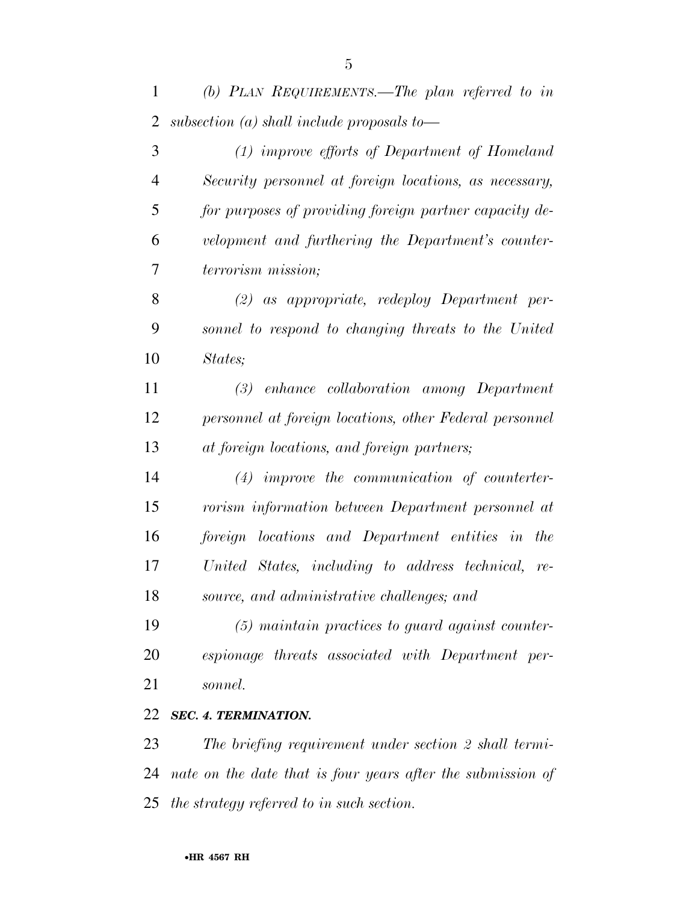*(b) PLAN REQUIREMENTS.—The plan referred to in subsection (a) shall include proposals to—* 

 *(1) improve efforts of Department of Homeland Security personnel at foreign locations, as necessary, for purposes of providing foreign partner capacity de- velopment and furthering the Department's counter- terrorism mission; (2) as appropriate, redeploy Department per- sonnel to respond to changing threats to the United States; (3) enhance collaboration among Department personnel at foreign locations, other Federal personnel at foreign locations, and foreign partners; (4) improve the communication of counterter- rorism information between Department personnel at foreign locations and Department entities in the United States, including to address technical, re- source, and administrative challenges; and (5) maintain practices to guard against counter- espionage threats associated with Department per-sonnel.* 

#### *SEC. 4. TERMINATION.*

 *The briefing requirement under section 2 shall termi- nate on the date that is four years after the submission of the strategy referred to in such section.*